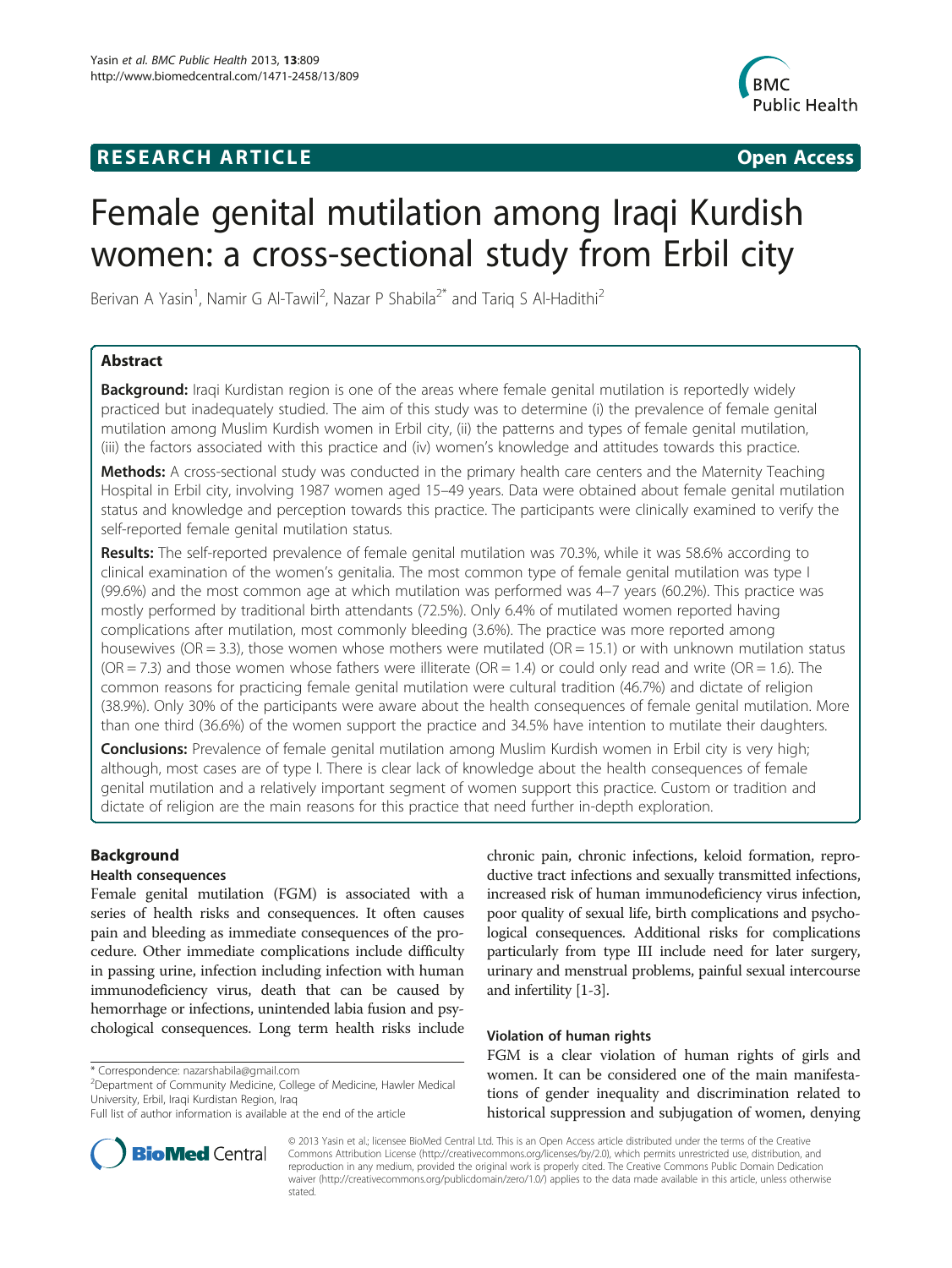## **RESEARCH ARTICLE Example 2018 12:00 Department of the CONNECTION CONNECTION CONNECTION CONNECTION**



# Female genital mutilation among Iraqi Kurdish women: a cross-sectional study from Erbil city

Berivan A Yasin<sup>1</sup>, Namir G Al-Tawil<sup>2</sup>, Nazar P Shabila<sup>2\*</sup> and Tariq S Al-Hadithi<sup>2</sup>

## Abstract

Background: Iraqi Kurdistan region is one of the areas where female genital mutilation is reportedly widely practiced but inadequately studied. The aim of this study was to determine (i) the prevalence of female genital mutilation among Muslim Kurdish women in Erbil city, (ii) the patterns and types of female genital mutilation, (iii) the factors associated with this practice and (iv) women's knowledge and attitudes towards this practice.

Methods: A cross-sectional study was conducted in the primary health care centers and the Maternity Teaching Hospital in Erbil city, involving 1987 women aged 15–49 years. Data were obtained about female genital mutilation status and knowledge and perception towards this practice. The participants were clinically examined to verify the self-reported female genital mutilation status.

Results: The self-reported prevalence of female genital mutilation was 70.3%, while it was 58.6% according to clinical examination of the women's genitalia. The most common type of female genital mutilation was type I (99.6%) and the most common age at which mutilation was performed was 4–7 years (60.2%). This practice was mostly performed by traditional birth attendants (72.5%). Only 6.4% of mutilated women reported having complications after mutilation, most commonly bleeding (3.6%). The practice was more reported among housewives (OR = 3.3), those women whose mothers were mutilated (OR = 15.1) or with unknown mutilation status  $(OR = 7.3)$  and those women whose fathers were illiterate  $(OR = 1.4)$  or could only read and write  $(OR = 1.6)$ . The common reasons for practicing female genital mutilation were cultural tradition (46.7%) and dictate of religion (38.9%). Only 30% of the participants were aware about the health consequences of female genital mutilation. More than one third (36.6%) of the women support the practice and 34.5% have intention to mutilate their daughters.

**Conclusions:** Prevalence of female genital mutilation among Muslim Kurdish women in Erbil city is very high; although, most cases are of type I. There is clear lack of knowledge about the health consequences of female genital mutilation and a relatively important segment of women support this practice. Custom or tradition and dictate of religion are the main reasons for this practice that need further in-depth exploration.

## Background

## Health consequences

Female genital mutilation (FGM) is associated with a series of health risks and consequences. It often causes pain and bleeding as immediate consequences of the procedure. Other immediate complications include difficulty in passing urine, infection including infection with human immunodeficiency virus, death that can be caused by hemorrhage or infections, unintended labia fusion and psychological consequences. Long term health risks include

<sup>2</sup>Department of Community Medicine, College of Medicine, Hawler Medical University, Erbil, Iraqi Kurdistan Region, Iraq



#### Violation of human rights

FGM is a clear violation of human rights of girls and women. It can be considered one of the main manifestations of gender inequality and discrimination related to historical suppression and subjugation of women, denying



© 2013 Yasin et al.; licensee BioMed Central Ltd. This is an Open Access article distributed under the terms of the Creative Commons Attribution License [\(http://creativecommons.org/licenses/by/2.0\)](http://creativecommons.org/licenses/by/2.0), which permits unrestricted use, distribution, and reproduction in any medium, provided the original work is properly cited. The Creative Commons Public Domain Dedication waiver [\(http://creativecommons.org/publicdomain/zero/1.0/\)](http://creativecommons.org/publicdomain/zero/1.0/) applies to the data made available in this article, unless otherwise stated.

<sup>\*</sup> Correspondence: [nazarshabila@gmail.com](mailto:nazarshabila@gmail.com) <sup>2</sup>

Full list of author information is available at the end of the article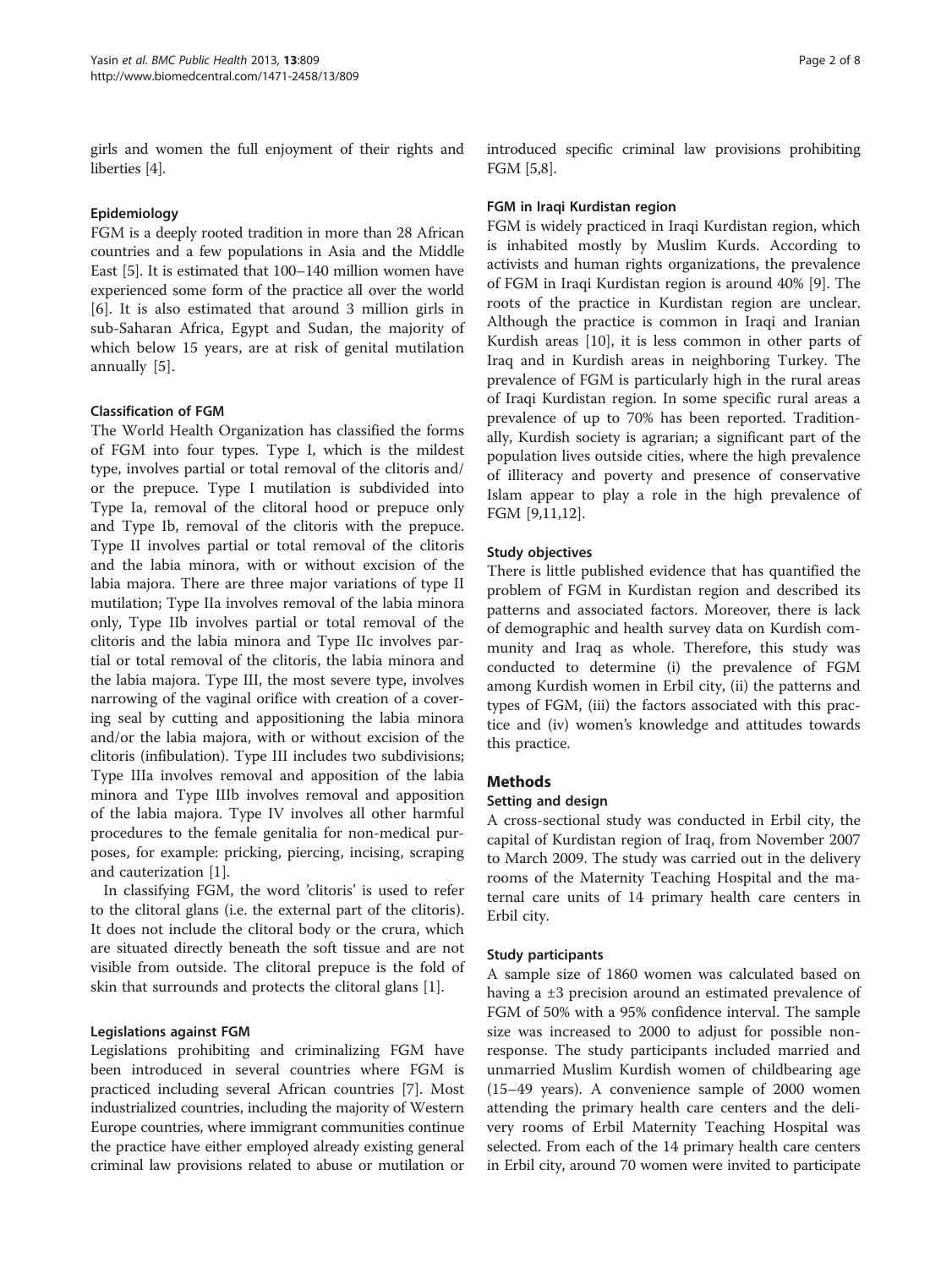girls and women the full enjoyment of their rights and liberties [[4\]](#page-6-0).

## Epidemiology

FGM is a deeply rooted tradition in more than 28 African countries and a few populations in Asia and the Middle East [\[5](#page-6-0)]. It is estimated that 100–140 million women have experienced some form of the practice all over the world [[6\]](#page-7-0). It is also estimated that around 3 million girls in sub-Saharan Africa, Egypt and Sudan, the majority of which below 15 years, are at risk of genital mutilation annually [[5](#page-6-0)].

## Classification of FGM

The World Health Organization has classified the forms of FGM into four types. Type I, which is the mildest type, involves partial or total removal of the clitoris and/ or the prepuce. Type I mutilation is subdivided into Type Ia, removal of the clitoral hood or prepuce only and Type Ib, removal of the clitoris with the prepuce. Type II involves partial or total removal of the clitoris and the labia minora, with or without excision of the labia majora. There are three major variations of type II mutilation; Type IIa involves removal of the labia minora only, Type IIb involves partial or total removal of the clitoris and the labia minora and Type IIc involves partial or total removal of the clitoris, the labia minora and the labia majora. Type III, the most severe type, involves narrowing of the vaginal orifice with creation of a covering seal by cutting and appositioning the labia minora and/or the labia majora, with or without excision of the clitoris (infibulation). Type III includes two subdivisions; Type IIIa involves removal and apposition of the labia minora and Type IIIb involves removal and apposition of the labia majora. Type IV involves all other harmful procedures to the female genitalia for non-medical purposes, for example: pricking, piercing, incising, scraping and cauterization [[1\]](#page-6-0).

In classifying FGM, the word 'clitoris' is used to refer to the clitoral glans (i.e. the external part of the clitoris). It does not include the clitoral body or the crura, which are situated directly beneath the soft tissue and are not visible from outside. The clitoral prepuce is the fold of skin that surrounds and protects the clitoral glans [[1\]](#page-6-0).

## Legislations against FGM

Legislations prohibiting and criminalizing FGM have been introduced in several countries where FGM is practiced including several African countries [\[7](#page-7-0)]. Most industrialized countries, including the majority of Western Europe countries, where immigrant communities continue the practice have either employed already existing general criminal law provisions related to abuse or mutilation or introduced specific criminal law provisions prohibiting FGM [[5](#page-6-0)[,8](#page-7-0)].

## FGM in Iraqi Kurdistan region

FGM is widely practiced in Iraqi Kurdistan region, which is inhabited mostly by Muslim Kurds. According to activists and human rights organizations, the prevalence of FGM in Iraqi Kurdistan region is around 40% [\[9](#page-7-0)]. The roots of the practice in Kurdistan region are unclear. Although the practice is common in Iraqi and Iranian Kurdish areas [\[10](#page-7-0)], it is less common in other parts of Iraq and in Kurdish areas in neighboring Turkey. The prevalence of FGM is particularly high in the rural areas of Iraqi Kurdistan region. In some specific rural areas a prevalence of up to 70% has been reported. Traditionally, Kurdish society is agrarian; a significant part of the population lives outside cities, where the high prevalence of illiteracy and poverty and presence of conservative Islam appear to play a role in the high prevalence of FGM [\[9,11,12](#page-7-0)].

## Study objectives

There is little published evidence that has quantified the problem of FGM in Kurdistan region and described its patterns and associated factors. Moreover, there is lack of demographic and health survey data on Kurdish community and Iraq as whole. Therefore, this study was conducted to determine (i) the prevalence of FGM among Kurdish women in Erbil city, (ii) the patterns and types of FGM, (iii) the factors associated with this practice and (iv) women's knowledge and attitudes towards this practice.

## **Methods**

## Setting and design

A cross-sectional study was conducted in Erbil city, the capital of Kurdistan region of Iraq, from November 2007 to March 2009. The study was carried out in the delivery rooms of the Maternity Teaching Hospital and the maternal care units of 14 primary health care centers in Erbil city.

## Study participants

A sample size of 1860 women was calculated based on having a ±3 precision around an estimated prevalence of FGM of 50% with a 95% confidence interval. The sample size was increased to 2000 to adjust for possible nonresponse. The study participants included married and unmarried Muslim Kurdish women of childbearing age (15–49 years). A convenience sample of 2000 women attending the primary health care centers and the delivery rooms of Erbil Maternity Teaching Hospital was selected. From each of the 14 primary health care centers in Erbil city, around 70 women were invited to participate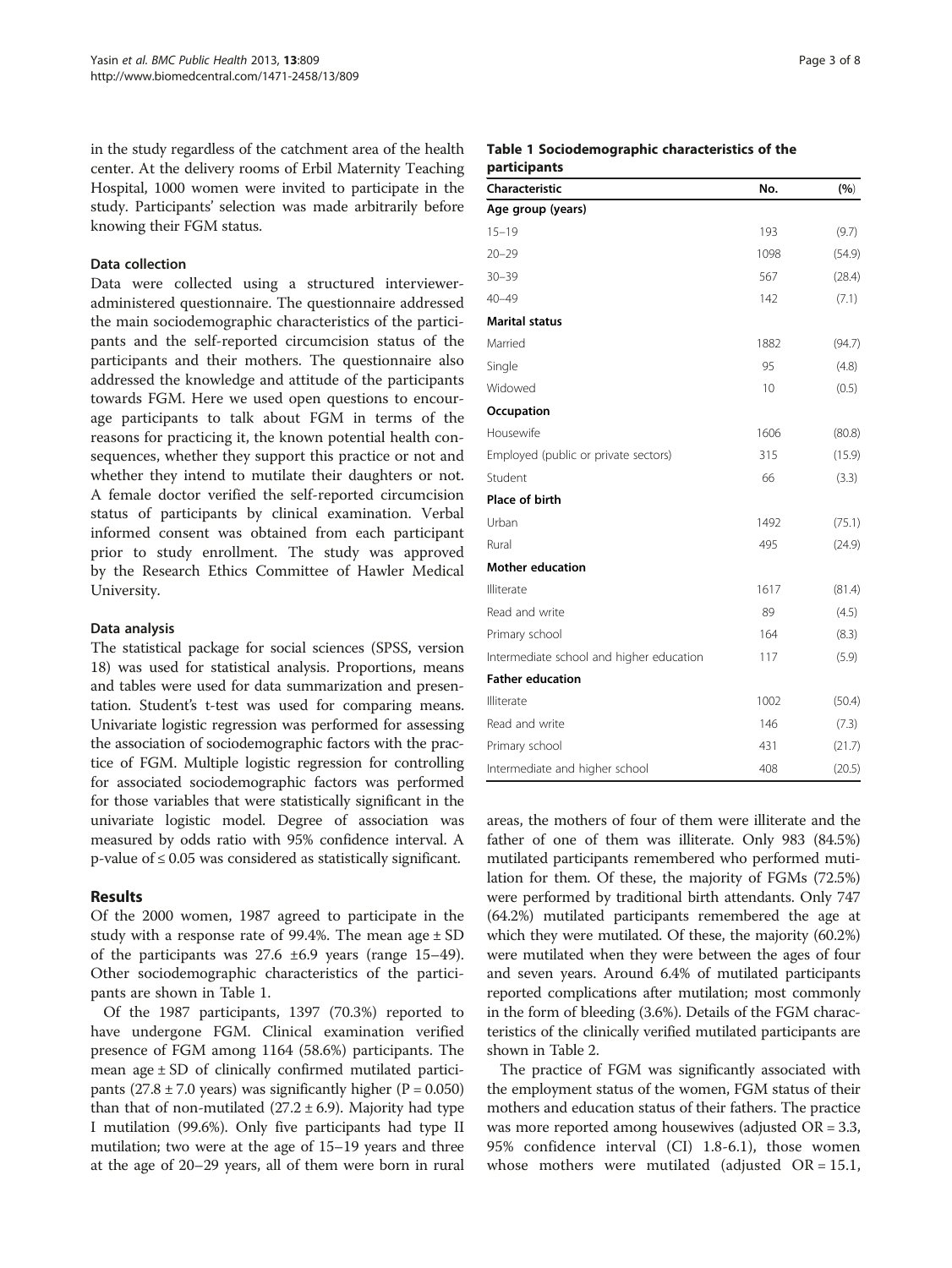in the study regardless of the catchment area of the health center. At the delivery rooms of Erbil Maternity Teaching Hospital, 1000 women were invited to participate in the study. Participants' selection was made arbitrarily before knowing their FGM status.

#### Data collection

Data were collected using a structured intervieweradministered questionnaire. The questionnaire addressed the main sociodemographic characteristics of the participants and the self-reported circumcision status of the participants and their mothers. The questionnaire also addressed the knowledge and attitude of the participants towards FGM. Here we used open questions to encourage participants to talk about FGM in terms of the reasons for practicing it, the known potential health consequences, whether they support this practice or not and whether they intend to mutilate their daughters or not. A female doctor verified the self-reported circumcision status of participants by clinical examination. Verbal informed consent was obtained from each participant prior to study enrollment. The study was approved by the Research Ethics Committee of Hawler Medical University.

#### Data analysis

The statistical package for social sciences (SPSS, version 18) was used for statistical analysis. Proportions, means and tables were used for data summarization and presentation. Student's t-test was used for comparing means. Univariate logistic regression was performed for assessing the association of sociodemographic factors with the practice of FGM. Multiple logistic regression for controlling for associated sociodemographic factors was performed for those variables that were statistically significant in the univariate logistic model. Degree of association was measured by odds ratio with 95% confidence interval. A p-value of ≤ 0.05 was considered as statistically significant.

## Results

Of the 2000 women, 1987 agreed to participate in the study with a response rate of 99.4%. The mean age  $\pm$  SD of the participants was  $27.6 \pm 6.9$  years (range 15–49). Other sociodemographic characteristics of the participants are shown in Table 1.

Of the 1987 participants, 1397 (70.3%) reported to have undergone FGM. Clinical examination verified presence of FGM among 1164 (58.6%) participants. The mean age ± SD of clinically confirmed mutilated participants (27.8  $\pm$  7.0 years) was significantly higher (P = 0.050) than that of non-mutilated  $(27.2 \pm 6.9)$ . Majority had type I mutilation (99.6%). Only five participants had type II mutilation; two were at the age of 15–19 years and three at the age of 20–29 years, all of them were born in rural

#### Table 1 Sociodemographic characteristics of the participants

| <b>Characteristic</b>                    | No.  | (%)    |
|------------------------------------------|------|--------|
| Age group (years)                        |      |        |
| $15 - 19$                                | 193  | (9.7)  |
| $20 - 29$                                | 1098 | (54.9) |
| $30 - 39$                                | 567  | (28.4) |
| $40 - 49$                                | 142  | (7.1)  |
| <b>Marital status</b>                    |      |        |
| Married                                  | 1882 | (94.7) |
| Single                                   | 95   | (4.8)  |
| Widowed                                  | 10   | (0.5)  |
| Occupation                               |      |        |
| Housewife                                | 1606 | (80.8) |
| Employed (public or private sectors)     | 315  | (15.9) |
| Student                                  | 66   | (3.3)  |
| Place of birth                           |      |        |
| Urban                                    | 1492 | (75.1) |
| Rural                                    | 495  | (24.9) |
| <b>Mother education</b>                  |      |        |
| Illiterate                               | 1617 | (81.4) |
| Read and write                           | 89   | (4.5)  |
| Primary school                           | 164  | (8.3)  |
| Intermediate school and higher education | 117  | (5.9)  |
| <b>Father education</b>                  |      |        |
| Illiterate                               | 1002 | (50.4) |
| Read and write                           | 146  | (7.3)  |
| Primary school                           | 431  | (21.7) |
| Intermediate and higher school           | 408  | (20.5) |

areas, the mothers of four of them were illiterate and the father of one of them was illiterate. Only 983 (84.5%) mutilated participants remembered who performed mutilation for them. Of these, the majority of FGMs (72.5%) were performed by traditional birth attendants. Only 747 (64.2%) mutilated participants remembered the age at which they were mutilated. Of these, the majority (60.2%) were mutilated when they were between the ages of four and seven years. Around 6.4% of mutilated participants reported complications after mutilation; most commonly in the form of bleeding (3.6%). Details of the FGM characteristics of the clinically verified mutilated participants are shown in Table [2](#page-3-0).

The practice of FGM was significantly associated with the employment status of the women, FGM status of their mothers and education status of their fathers. The practice was more reported among housewives (adjusted  $OR = 3.3$ , 95% confidence interval (CI) 1.8-6.1), those women whose mothers were mutilated (adjusted  $OR = 15.1$ ,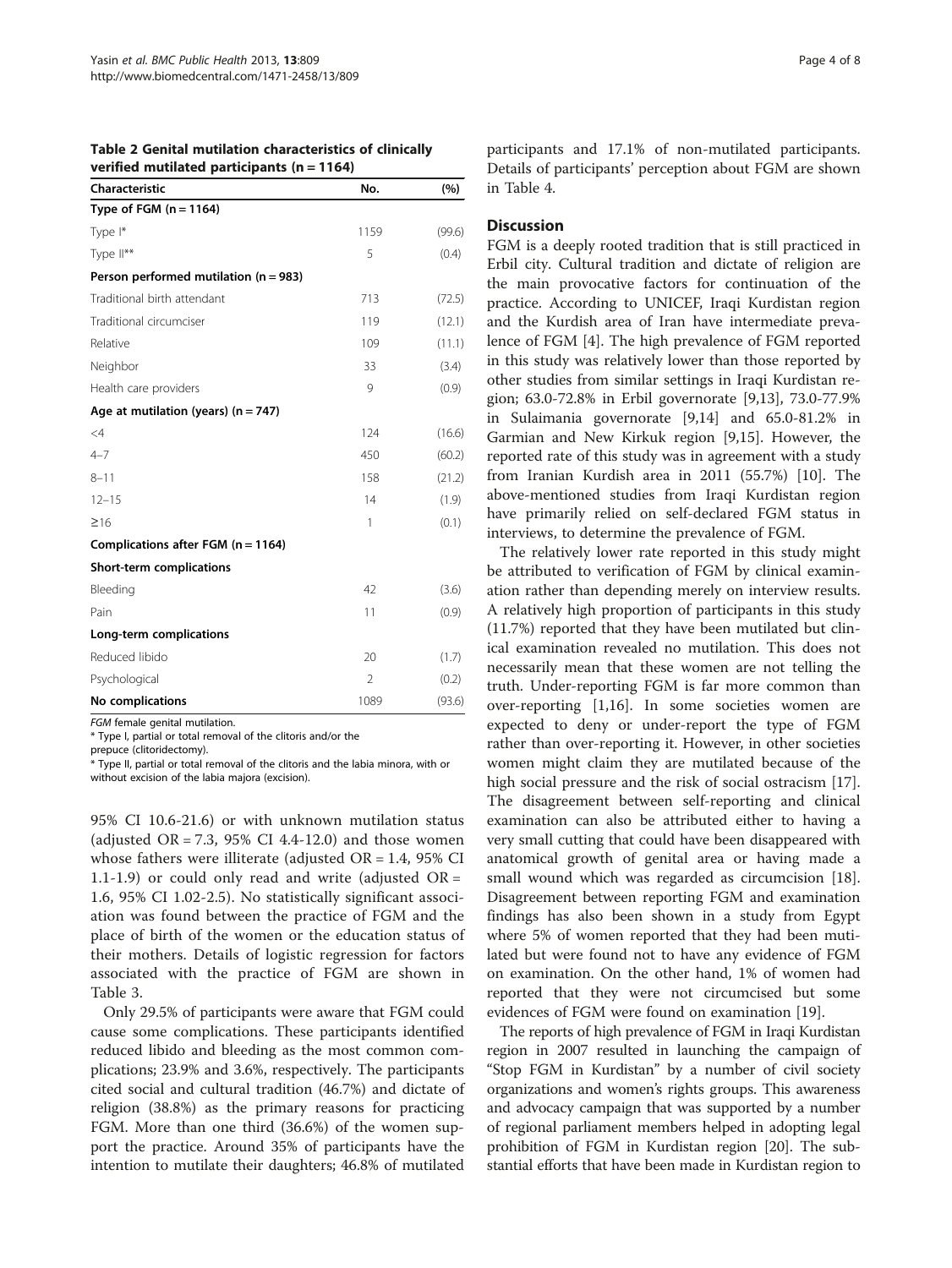| verified mutilated participants ( $n = 1164$ ) |                |        |  |  |  |
|------------------------------------------------|----------------|--------|--|--|--|
| Characteristic                                 | No.            | (%)    |  |  |  |
| Type of FGM $(n = 1164)$                       |                |        |  |  |  |
| Type I*                                        | 1159           | (99.6) |  |  |  |
| Type II**                                      | 5              | (0.4)  |  |  |  |
| Person performed mutilation ( $n = 983$ )      |                |        |  |  |  |
| Traditional birth attendant                    | 713            | (72.5) |  |  |  |
| Traditional circumciser                        | 119            | (12.1) |  |  |  |
| Relative                                       | 109            | (11.1) |  |  |  |
| Neighbor                                       | 33             | (3.4)  |  |  |  |
| Health care providers                          | 9              | (0.9)  |  |  |  |
| Age at mutilation (years) ( $n = 747$ )        |                |        |  |  |  |
| $\leq 4$                                       | 124            | (16.6) |  |  |  |
| $4 - 7$                                        | 450            | (60.2) |  |  |  |
| $8 - 11$                                       | 158            | (21.2) |  |  |  |
| $12 - 15$                                      | 14             | (1.9)  |  |  |  |
| $\geq 16$                                      | 1              | (0.1)  |  |  |  |
| Complications after FGM ( $n = 1164$ )         |                |        |  |  |  |
| Short-term complications                       |                |        |  |  |  |
| Bleeding                                       | 42             | (3.6)  |  |  |  |
| Pain                                           | 11             | (0.9)  |  |  |  |
| Long-term complications                        |                |        |  |  |  |
| Reduced libido                                 | 20             | (1.7)  |  |  |  |
| Psychological                                  | $\overline{2}$ | (0.2)  |  |  |  |
| No complications                               | 1089           | (93.6) |  |  |  |
|                                                |                |        |  |  |  |

<span id="page-3-0"></span>

| Table 2 Genital mutilation characteristics of clinically |  |  |
|----------------------------------------------------------|--|--|
| verified mutilated participants ( $n = 1164$ )           |  |  |

FGM female genital mutilation.

\* Type I, partial or total removal of the clitoris and/or the

prepuce (clitoridectomy).

\* Type II, partial or total removal of the clitoris and the labia minora, with or without excision of the labia majora (excision).

95% CI 10.6-21.6) or with unknown mutilation status (adjusted  $OR = 7.3$ , 95% CI 4.4-12.0) and those women whose fathers were illiterate (adjusted OR = 1.4, 95% CI 1.1-1.9) or could only read and write (adjusted  $OR =$ 1.6, 95% CI 1.02-2.5). No statistically significant association was found between the practice of FGM and the place of birth of the women or the education status of their mothers. Details of logistic regression for factors associated with the practice of FGM are shown in Table [3](#page-4-0).

Only 29.5% of participants were aware that FGM could cause some complications. These participants identified reduced libido and bleeding as the most common complications; 23.9% and 3.6%, respectively. The participants cited social and cultural tradition (46.7%) and dictate of religion (38.8%) as the primary reasons for practicing FGM. More than one third (36.6%) of the women support the practice. Around 35% of participants have the intention to mutilate their daughters; 46.8% of mutilated

participants and 17.1% of non-mutilated participants. Details of participants' perception about FGM are shown in Table [4.](#page-5-0)

## **Discussion**

FGM is a deeply rooted tradition that is still practiced in Erbil city. Cultural tradition and dictate of religion are the main provocative factors for continuation of the practice. According to UNICEF, Iraqi Kurdistan region and the Kurdish area of Iran have intermediate prevalence of FGM [[4\]](#page-6-0). The high prevalence of FGM reported in this study was relatively lower than those reported by other studies from similar settings in Iraqi Kurdistan region; 63.0-72.8% in Erbil governorate [\[9,13](#page-7-0)], 73.0-77.9% in Sulaimania governorate [\[9,14](#page-7-0)] and 65.0-81.2% in Garmian and New Kirkuk region [[9,15\]](#page-7-0). However, the reported rate of this study was in agreement with a study from Iranian Kurdish area in 2011 (55.7%) [[10\]](#page-7-0). The above-mentioned studies from Iraqi Kurdistan region have primarily relied on self-declared FGM status in interviews, to determine the prevalence of FGM.

The relatively lower rate reported in this study might be attributed to verification of FGM by clinical examination rather than depending merely on interview results. A relatively high proportion of participants in this study (11.7%) reported that they have been mutilated but clinical examination revealed no mutilation. This does not necessarily mean that these women are not telling the truth. Under-reporting FGM is far more common than over-reporting [[1,](#page-6-0)[16\]](#page-7-0). In some societies women are expected to deny or under-report the type of FGM rather than over-reporting it. However, in other societies women might claim they are mutilated because of the high social pressure and the risk of social ostracism [\[17](#page-7-0)]. The disagreement between self-reporting and clinical examination can also be attributed either to having a very small cutting that could have been disappeared with anatomical growth of genital area or having made a small wound which was regarded as circumcision [\[18](#page-7-0)]. Disagreement between reporting FGM and examination findings has also been shown in a study from Egypt where 5% of women reported that they had been mutilated but were found not to have any evidence of FGM on examination. On the other hand, 1% of women had reported that they were not circumcised but some evidences of FGM were found on examination [\[19](#page-7-0)].

The reports of high prevalence of FGM in Iraqi Kurdistan region in 2007 resulted in launching the campaign of "Stop FGM in Kurdistan" by a number of civil society organizations and women's rights groups. This awareness and advocacy campaign that was supported by a number of regional parliament members helped in adopting legal prohibition of FGM in Kurdistan region [\[20\]](#page-7-0). The substantial efforts that have been made in Kurdistan region to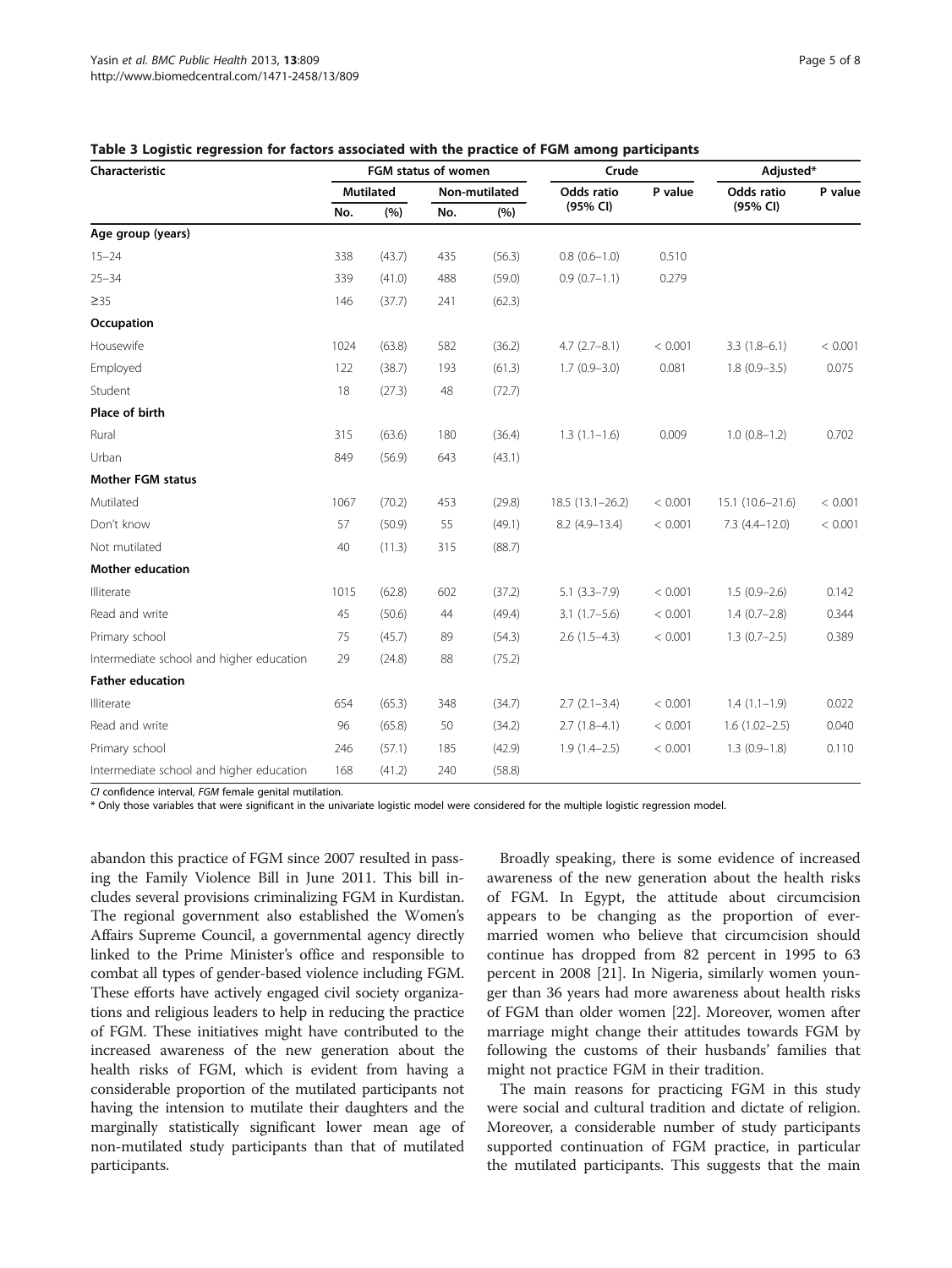| Characteristic                           | FGM status of women |        |               | Crude  |                     | Adjusted* |                   |         |
|------------------------------------------|---------------------|--------|---------------|--------|---------------------|-----------|-------------------|---------|
|                                          | <b>Mutilated</b>    |        | Non-mutilated |        | Odds ratio          | P value   | Odds ratio        | P value |
|                                          | No.                 | (%)    | No.           | (%)    | (95% CI)            |           | (95% CI)          |         |
| Age group (years)                        |                     |        |               |        |                     |           |                   |         |
| $15 - 24$                                | 338                 | (43.7) | 435           | (56.3) | $0.8(0.6 - 1.0)$    | 0.510     |                   |         |
| $25 - 34$                                | 339                 | (41.0) | 488           | (59.0) | $0.9(0.7-1.1)$      | 0.279     |                   |         |
| $\geq$ 35                                | 146                 | (37.7) | 241           | (62.3) |                     |           |                   |         |
| Occupation                               |                     |        |               |        |                     |           |                   |         |
| Housewife                                | 1024                | (63.8) | 582           | (36.2) | $4.7(2.7 - 8.1)$    | < 0.001   | $3.3(1.8-6.1)$    | < 0.001 |
| Employed                                 | 122                 | (38.7) | 193           | (61.3) | $1.7(0.9 - 3.0)$    | 0.081     | $1.8(0.9 - 3.5)$  | 0.075   |
| Student                                  | 18                  | (27.3) | 48            | (72.7) |                     |           |                   |         |
| Place of birth                           |                     |        |               |        |                     |           |                   |         |
| Rural                                    | 315                 | (63.6) | 180           | (36.4) | $1.3(1.1-1.6)$      | 0.009     | $1.0(0.8-1.2)$    | 0.702   |
| Urban                                    | 849                 | (56.9) | 643           | (43.1) |                     |           |                   |         |
| <b>Mother FGM status</b>                 |                     |        |               |        |                     |           |                   |         |
| Mutilated                                | 1067                | (70.2) | 453           | (29.8) | $18.5(13.1 - 26.2)$ | < 0.001   | 15.1 (10.6-21.6)  | < 0.001 |
| Don't know                               | 57                  | (50.9) | 55            | (49.1) | $8.2$ (4.9-13.4)    | < 0.001   | $7.3(4.4-12.0)$   | < 0.001 |
| Not mutilated                            | 40                  | (11.3) | 315           | (88.7) |                     |           |                   |         |
| Mother education                         |                     |        |               |        |                     |           |                   |         |
| Illiterate                               | 1015                | (62.8) | 602           | (37.2) | $5.1(3.3-7.9)$      | < 0.001   | $1.5(0.9-2.6)$    | 0.142   |
| Read and write                           | 45                  | (50.6) | 44            | (49.4) | $3.1(1.7-5.6)$      | < 0.001   | $1.4(0.7-2.8)$    | 0.344   |
| Primary school                           | 75                  | (45.7) | 89            | (54.3) | $2.6(1.5-4.3)$      | < 0.001   | $1.3(0.7-2.5)$    | 0.389   |
| Intermediate school and higher education | 29                  | (24.8) | 88            | (75.2) |                     |           |                   |         |
| <b>Father education</b>                  |                     |        |               |        |                     |           |                   |         |
| Illiterate                               | 654                 | (65.3) | 348           | (34.7) | $2.7(2.1-3.4)$      | < 0.001   | $1.4(1.1-1.9)$    | 0.022   |
| Read and write                           | 96                  | (65.8) | 50            | (34.2) | $2.7(1.8-4.1)$      | < 0.001   | $1.6(1.02 - 2.5)$ | 0.040   |
| Primary school                           | 246                 | (57.1) | 185           | (42.9) | $1.9(1.4-2.5)$      | < 0.001   | $1.3(0.9-1.8)$    | 0.110   |
| Intermediate school and higher education | 168                 | (41.2) | 240           | (58.8) |                     |           |                   |         |

<span id="page-4-0"></span>

| Table 3 Logistic regression for factors associated with the practice of FGM among participants |  |
|------------------------------------------------------------------------------------------------|--|
|------------------------------------------------------------------------------------------------|--|

CI confidence interval, FGM female genital mutilation.

\* Only those variables that were significant in the univariate logistic model were considered for the multiple logistic regression model.

abandon this practice of FGM since 2007 resulted in passing the Family Violence Bill in June 2011. This bill includes several provisions criminalizing FGM in Kurdistan. The regional government also established the Women's Affairs Supreme Council, a governmental agency directly linked to the Prime Minister's office and responsible to combat all types of gender-based violence including FGM. These efforts have actively engaged civil society organizations and religious leaders to help in reducing the practice of FGM. These initiatives might have contributed to the increased awareness of the new generation about the health risks of FGM, which is evident from having a considerable proportion of the mutilated participants not having the intension to mutilate their daughters and the marginally statistically significant lower mean age of non-mutilated study participants than that of mutilated participants.

Broadly speaking, there is some evidence of increased awareness of the new generation about the health risks of FGM. In Egypt, the attitude about circumcision appears to be changing as the proportion of evermarried women who believe that circumcision should continue has dropped from 82 percent in 1995 to 63 percent in 2008 [[21](#page-7-0)]. In Nigeria, similarly women younger than 36 years had more awareness about health risks of FGM than older women [\[22](#page-7-0)]. Moreover, women after marriage might change their attitudes towards FGM by following the customs of their husbands' families that might not practice FGM in their tradition.

The main reasons for practicing FGM in this study were social and cultural tradition and dictate of religion. Moreover, a considerable number of study participants supported continuation of FGM practice, in particular the mutilated participants. This suggests that the main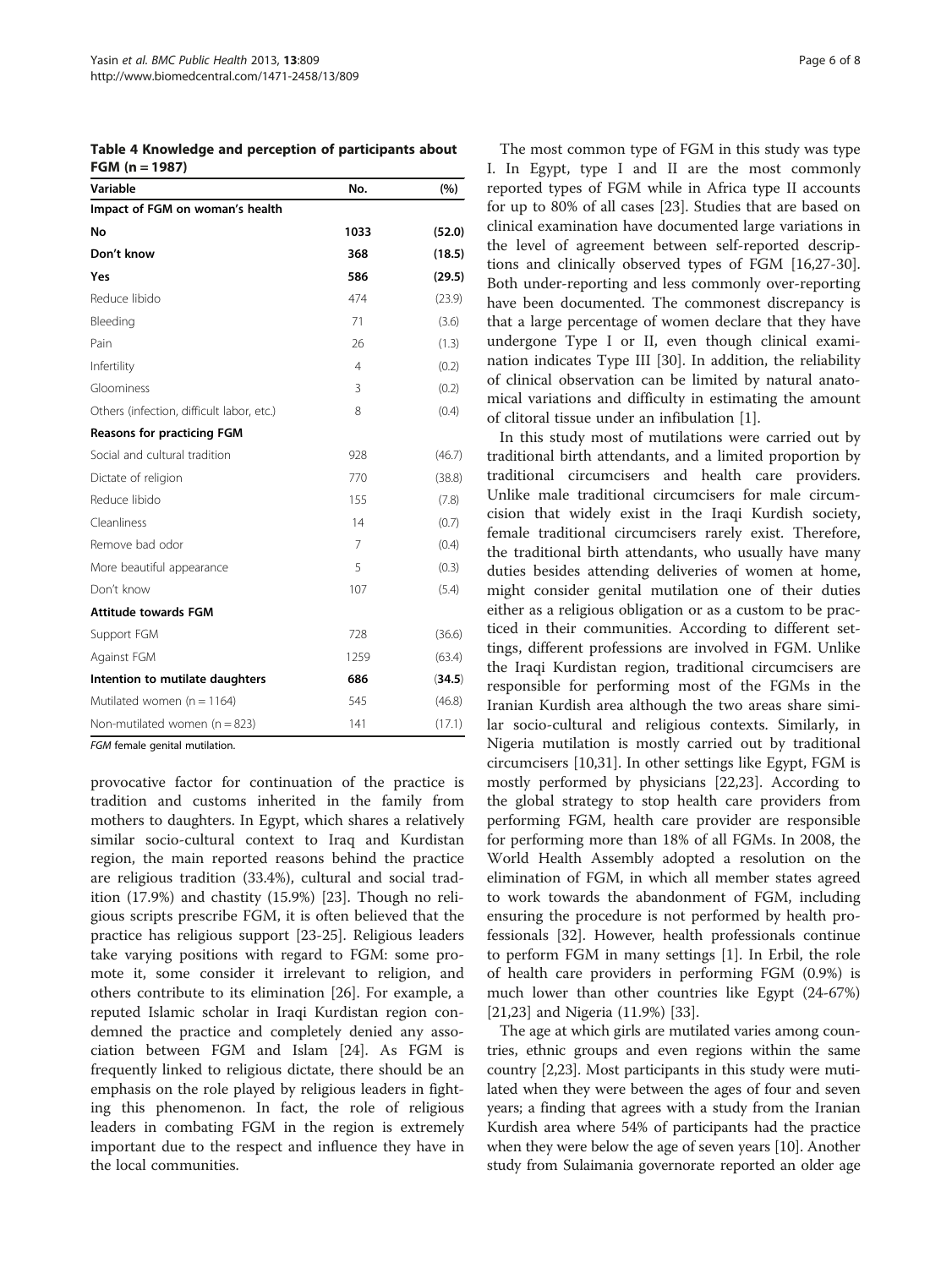<span id="page-5-0"></span>Table 4 Knowledge and perception of participants about FGM (n = 1987)

| Variable                                  | No.            | (%)    |
|-------------------------------------------|----------------|--------|
| Impact of FGM on woman's health           |                |        |
| No                                        | 1033           | (52.0) |
| Don't know                                | 368            | (18.5) |
| Yes                                       | 586            | (29.5) |
| Reduce libido                             | 474            | (23.9) |
| Bleeding                                  | 71             | (3.6)  |
| Pain                                      | 26             | (1.3)  |
| Infertility                               | 4              | (0.2)  |
| Gloominess                                | 3              | (0.2)  |
| Others (infection, difficult labor, etc.) | 8              | (0.4)  |
| <b>Reasons for practicing FGM</b>         |                |        |
| Social and cultural tradition             | 928            | (46.7) |
| Dictate of religion                       | 770            | (38.8) |
| Reduce libido                             | 155            | (7.8)  |
| Cleanliness                               | 14             | (0.7)  |
| Remove bad odor                           | $\overline{7}$ | (0.4)  |
| More beautiful appearance                 | 5              | (0.3)  |
| Don't know                                | 107            | (5.4)  |
| <b>Attitude towards FGM</b>               |                |        |
| Support FGM                               | 728            | (36.6) |
| Against FGM                               | 1259           | (63.4) |
| Intention to mutilate daughters           | 686            | (34.5) |
| Mutilated women ( $n = 1164$ )            | 545            | (46.8) |
| Non-mutilated women ( $n = 823$ )         | 141            | (17.1) |

FGM female genital mutilation.

provocative factor for continuation of the practice is tradition and customs inherited in the family from mothers to daughters. In Egypt, which shares a relatively similar socio-cultural context to Iraq and Kurdistan region, the main reported reasons behind the practice are religious tradition (33.4%), cultural and social tradition (17.9%) and chastity (15.9%) [\[23](#page-7-0)]. Though no religious scripts prescribe FGM, it is often believed that the practice has religious support [\[23](#page-7-0)-[25\]](#page-7-0). Religious leaders take varying positions with regard to FGM: some promote it, some consider it irrelevant to religion, and others contribute to its elimination [\[26\]](#page-7-0). For example, a reputed Islamic scholar in Iraqi Kurdistan region condemned the practice and completely denied any association between FGM and Islam [\[24](#page-7-0)]. As FGM is frequently linked to religious dictate, there should be an emphasis on the role played by religious leaders in fighting this phenomenon. In fact, the role of religious leaders in combating FGM in the region is extremely important due to the respect and influence they have in the local communities.

The most common type of FGM in this study was type I. In Egypt, type I and II are the most commonly reported types of FGM while in Africa type II accounts for up to 80% of all cases [[23\]](#page-7-0). Studies that are based on clinical examination have documented large variations in the level of agreement between self-reported descriptions and clinically observed types of FGM [\[16,27-30](#page-7-0)]. Both under-reporting and less commonly over-reporting have been documented. The commonest discrepancy is that a large percentage of women declare that they have undergone Type I or II, even though clinical examination indicates Type III [\[30\]](#page-7-0). In addition, the reliability of clinical observation can be limited by natural anatomical variations and difficulty in estimating the amount of clitoral tissue under an infibulation [[1\]](#page-6-0).

In this study most of mutilations were carried out by traditional birth attendants, and a limited proportion by traditional circumcisers and health care providers. Unlike male traditional circumcisers for male circumcision that widely exist in the Iraqi Kurdish society, female traditional circumcisers rarely exist. Therefore, the traditional birth attendants, who usually have many duties besides attending deliveries of women at home, might consider genital mutilation one of their duties either as a religious obligation or as a custom to be practiced in their communities. According to different settings, different professions are involved in FGM. Unlike the Iraqi Kurdistan region, traditional circumcisers are responsible for performing most of the FGMs in the Iranian Kurdish area although the two areas share similar socio-cultural and religious contexts. Similarly, in Nigeria mutilation is mostly carried out by traditional circumcisers [[10,31\]](#page-7-0). In other settings like Egypt, FGM is mostly performed by physicians [\[22,23](#page-7-0)]. According to the global strategy to stop health care providers from performing FGM, health care provider are responsible for performing more than 18% of all FGMs. In 2008, the World Health Assembly adopted a resolution on the elimination of FGM, in which all member states agreed to work towards the abandonment of FGM, including ensuring the procedure is not performed by health professionals [[32](#page-7-0)]. However, health professionals continue to perform FGM in many settings [[1](#page-6-0)]. In Erbil, the role of health care providers in performing FGM (0.9%) is much lower than other countries like Egypt (24-67%) [[21,23\]](#page-7-0) and Nigeria (11.9%) [[33](#page-7-0)].

The age at which girls are mutilated varies among countries, ethnic groups and even regions within the same country [[2,](#page-6-0)[23](#page-7-0)]. Most participants in this study were mutilated when they were between the ages of four and seven years; a finding that agrees with a study from the Iranian Kurdish area where 54% of participants had the practice when they were below the age of seven years [[10](#page-7-0)]. Another study from Sulaimania governorate reported an older age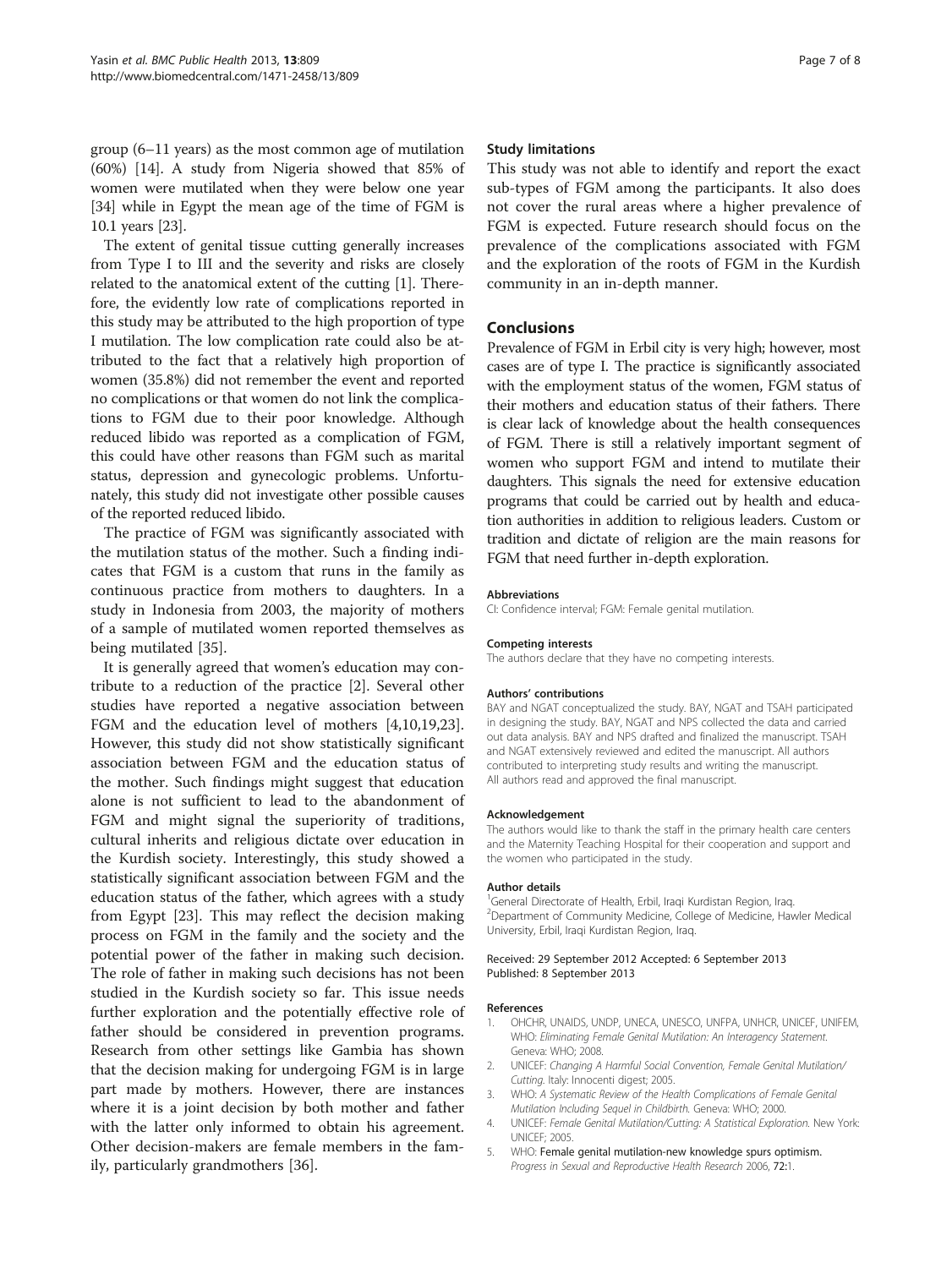<span id="page-6-0"></span>group (6–11 years) as the most common age of mutilation (60%) [\[14](#page-7-0)]. A study from Nigeria showed that 85% of women were mutilated when they were below one year [[34](#page-7-0)] while in Egypt the mean age of the time of FGM is 10.1 years [[23](#page-7-0)].

The extent of genital tissue cutting generally increases from Type I to III and the severity and risks are closely related to the anatomical extent of the cutting [1]. Therefore, the evidently low rate of complications reported in this study may be attributed to the high proportion of type I mutilation. The low complication rate could also be attributed to the fact that a relatively high proportion of women (35.8%) did not remember the event and reported no complications or that women do not link the complications to FGM due to their poor knowledge. Although reduced libido was reported as a complication of FGM, this could have other reasons than FGM such as marital status, depression and gynecologic problems. Unfortunately, this study did not investigate other possible causes of the reported reduced libido.

The practice of FGM was significantly associated with the mutilation status of the mother. Such a finding indicates that FGM is a custom that runs in the family as continuous practice from mothers to daughters. In a study in Indonesia from 2003, the majority of mothers of a sample of mutilated women reported themselves as being mutilated [[35\]](#page-7-0).

It is generally agreed that women's education may contribute to a reduction of the practice [2]. Several other studies have reported a negative association between FGM and the education level of mothers [4[,10,19,23](#page-7-0)]. However, this study did not show statistically significant association between FGM and the education status of the mother. Such findings might suggest that education alone is not sufficient to lead to the abandonment of FGM and might signal the superiority of traditions, cultural inherits and religious dictate over education in the Kurdish society. Interestingly, this study showed a statistically significant association between FGM and the education status of the father, which agrees with a study from Egypt [[23](#page-7-0)]. This may reflect the decision making process on FGM in the family and the society and the potential power of the father in making such decision. The role of father in making such decisions has not been studied in the Kurdish society so far. This issue needs further exploration and the potentially effective role of father should be considered in prevention programs. Research from other settings like Gambia has shown that the decision making for undergoing FGM is in large part made by mothers. However, there are instances where it is a joint decision by both mother and father with the latter only informed to obtain his agreement. Other decision-makers are female members in the family, particularly grandmothers [[36\]](#page-7-0).

#### Study limitations

This study was not able to identify and report the exact sub-types of FGM among the participants. It also does not cover the rural areas where a higher prevalence of FGM is expected. Future research should focus on the prevalence of the complications associated with FGM and the exploration of the roots of FGM in the Kurdish community in an in-depth manner.

#### Conclusions

Prevalence of FGM in Erbil city is very high; however, most cases are of type I. The practice is significantly associated with the employment status of the women, FGM status of their mothers and education status of their fathers. There is clear lack of knowledge about the health consequences of FGM. There is still a relatively important segment of women who support FGM and intend to mutilate their daughters. This signals the need for extensive education programs that could be carried out by health and education authorities in addition to religious leaders. Custom or tradition and dictate of religion are the main reasons for FGM that need further in-depth exploration.

#### Abbreviations

CI: Confidence interval; FGM: Female genital mutilation.

#### Competing interests

The authors declare that they have no competing interests.

#### Authors' contributions

BAY and NGAT conceptualized the study. BAY, NGAT and TSAH participated in designing the study. BAY, NGAT and NPS collected the data and carried out data analysis. BAY and NPS drafted and finalized the manuscript. TSAH and NGAT extensively reviewed and edited the manuscript. All authors contributed to interpreting study results and writing the manuscript. All authors read and approved the final manuscript.

#### Acknowledgement

The authors would like to thank the staff in the primary health care centers and the Maternity Teaching Hospital for their cooperation and support and the women who participated in the study.

#### Author details

<sup>1</sup>General Directorate of Health, Erbil, Iraqi Kurdistan Region, Iraq. 2 Department of Community Medicine, College of Medicine, Hawler Medical University, Erbil, Iraqi Kurdistan Region, Iraq.

#### Received: 29 September 2012 Accepted: 6 September 2013 Published: 8 September 2013

#### References

- 1. OHCHR, UNAIDS, UNDP, UNECA, UNESCO, UNFPA, UNHCR, UNICEF, UNIFEM, WHO: Eliminating Female Genital Mutilation: An Interagency Statement. Geneva: WHO; 2008.
- 2. UNICEF: Changing A Harmful Social Convention, Female Genital Mutilation/ Cutting. Italy: Innocenti digest; 2005.
- 3. WHO: A Systematic Review of the Health Complications of Female Genital Mutilation Including Sequel in Childbirth. Geneva: WHO; 2000.
- 4. UNICEF: Female Genital Mutilation/Cutting: A Statistical Exploration. New York: UNICEF; 2005.
- 5. WHO: Female genital mutilation-new knowledge spurs optimism. Progress in Sexual and Reproductive Health Research 2006, 72:1.